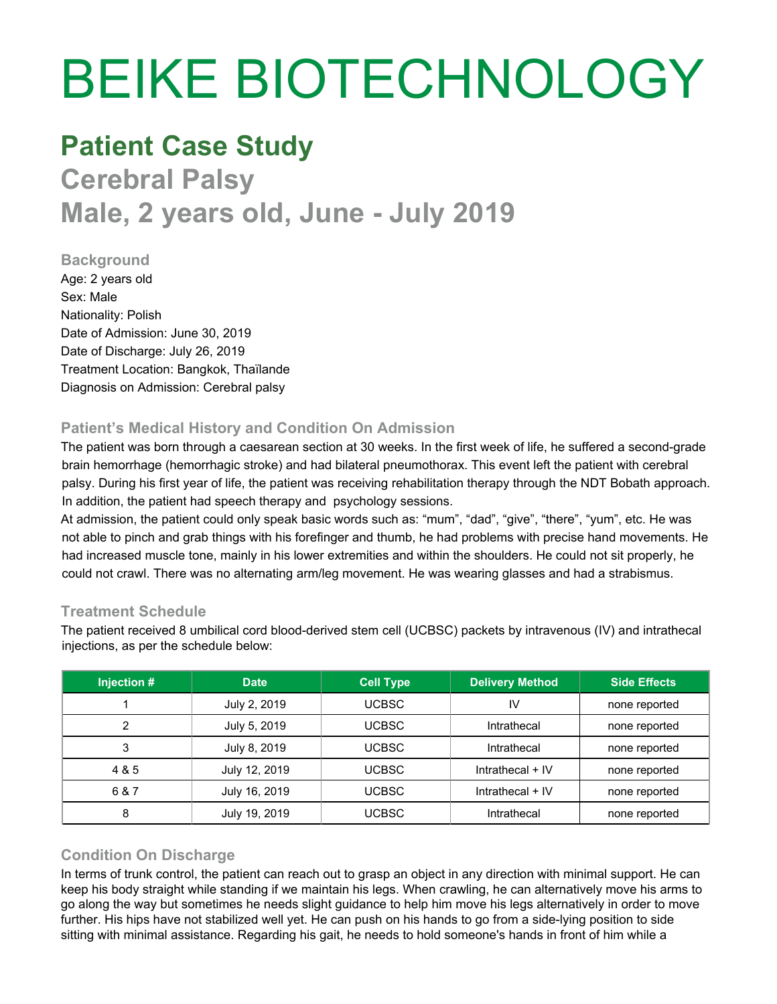# BEIKE BIOTECHNOLOGY

## **Patient Case Study**

## **Cerebral Palsy Male, 2 years old, June - July 2019**

#### **Background**

Age: 2 years old Sex: Male Nationality: Polish Date of Admission: June 30, 2019 Date of Discharge: July 26, 2019 Treatment Location: Bangkok, Thaïlande Diagnosis on Admission: Cerebral palsy

### **Patient's Medical History and Condition On Admission**

The patient was born through a caesarean section at 30 weeks. In the first week of life, he suffered a second-grade brain hemorrhage (hemorrhagic stroke) and had bilateral pneumothorax. This event left the patient with cerebral palsy. During his first year of life, the patient was receiving rehabilitation therapy through the NDT Bobath approach. In addition, the patient had speech therapy and psychology sessions.

At admission, the patient could only speak basic words such as: "mum", "dad", "give", "there", "yum", etc. He was not able to pinch and grab things with his forefinger and thumb, he had problems with precise hand movements. He had increased muscle tone, mainly in his lower extremities and within the shoulders. He could not sit properly, he could not crawl. There was no alternating arm/leg movement. He was wearing glasses and had a strabismus.

#### **Treatment Schedule**

The patient received 8 umbilical cord blood-derived stem cell (UCBSC) packets by intravenous (IV) and intrathecal injections, as per the schedule below:

| Injection # | <b>Date</b>   | <b>Cell Type</b> | <b>Delivery Method</b> | <b>Side Effects</b> |
|-------------|---------------|------------------|------------------------|---------------------|
|             | July 2, 2019  | <b>UCBSC</b>     | IV                     | none reported       |
| ◠           | July 5, 2019  | <b>UCBSC</b>     | Intrathecal            | none reported       |
| 3           | July 8, 2019  | UCBSC            | Intrathecal            | none reported       |
| 4 & 5       | July 12, 2019 | <b>UCBSC</b>     | Intrathecal $+$ IV     | none reported       |
| 6 & 7       | July 16, 2019 | <b>UCBSC</b>     | Intrathecal $+$ IV     | none reported       |
| 8           | July 19, 2019 | <b>UCBSC</b>     | Intrathecal            | none reported       |

#### **Condition On Discharge**

In terms of trunk control, the patient can reach out to grasp an object in any direction with minimal support. He can keep his body straight while standing if we maintain his legs. When crawling, he can alternatively move his arms to go along the way but sometimes he needs slight guidance to help him move his legs alternatively in order to move further. His hips have not stabilized well yet. He can push on his hands to go from a side-lying position to side sitting with minimal assistance. Regarding his gait, he needs to hold someone's hands in front of him while a